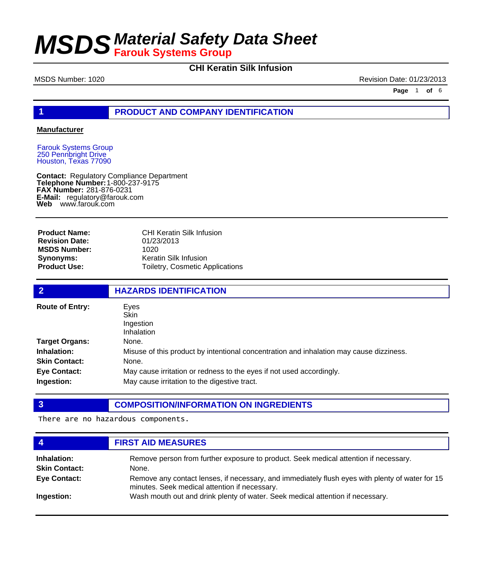## **CHI Keratin Silk Infusion**

MSDS Number: 1020 **Revision Date: 01/23/2013** 

**Page** 1 **of** 6

### **1 PRODUCT AND COMPANY IDENTIFICATION**

#### **Manufacturer**

Farouk Systems Group 250 Pennbright Drive Houston, Texas 77090

**Contact: Telephone Number: FAX Number:** 281-876-0231 **E-Mail:** regulatory@farouk.com **Web** www.farouk.com Regulatory Compliance Department 1-800-237-9175

**Product Name: Revision Date: MSDS Number: Synonyms: Product Use:**

CHI Keratin Silk Infusion 01/23/2013 1020 Keratin Silk Infusion Toiletry, Cosmetic Applications

| $\overline{2}$                    | <b>HAZARDS IDENTIFICATION</b>                                                                                        |
|-----------------------------------|----------------------------------------------------------------------------------------------------------------------|
| <b>Route of Entry:</b>            | Eves<br>Skin<br>Ingestion<br>Inhalation                                                                              |
| <b>Target Organs:</b>             | None.                                                                                                                |
| Inhalation:                       | Misuse of this product by intentional concentration and inhalation may cause dizziness.                              |
| <b>Skin Contact:</b>              | None.                                                                                                                |
| <b>Eye Contact:</b><br>Ingestion: | May cause irritation or redness to the eyes if not used accordingly.<br>May cause irritation to the digestive tract. |

### **3 COMPOSITION/INFORMATION ON INGREDIENTS**

There are no hazardous components.

|                      | <b>FIRST AID MEASURES</b>                                                                                                                        |
|----------------------|--------------------------------------------------------------------------------------------------------------------------------------------------|
| Inhalation:          | Remove person from further exposure to product. Seek medical attention if necessary.                                                             |
| <b>Skin Contact:</b> | None.                                                                                                                                            |
| <b>Eye Contact:</b>  | Remove any contact lenses, if necessary, and immediately flush eyes with plenty of water for 15<br>minutes. Seek medical attention if necessary. |
| Ingestion:           | Wash mouth out and drink plenty of water. Seek medical attention if necessary.                                                                   |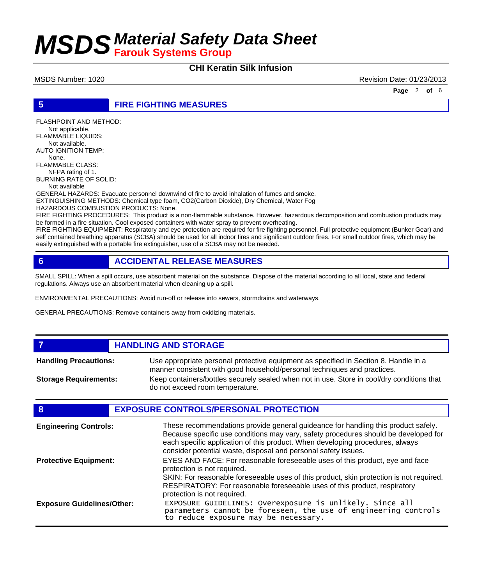### **CHI Keratin Silk Infusion**

MSDS Number: 1020 **Revision Date: 01/23/2013** 

**Page** 2 **of** 6

**5 FIRE FIGHTING MEASURES**

FLASHPOINT AND METHOD: Not applicable. FLAMMABLE LIQUIDS: Not available. AUTO IGNITION TEMP: None. FLAMMABLE CLASS: NFPA rating of 1. BURNING RATE OF SOLID: Not available

GENERAL HAZARDS: Evacuate personnel downwind of fire to avoid inhalation of fumes and smoke. EXTINGUISHING METHODS: Chemical type foam, CO2(Carbon Dioxide), Dry Chemical, Water Fog HAZARDOUS COMBUSTION PRODUCTS: None.

FIRE FIGHTING PROCEDURES: This product is a non-flammable substance. However, hazardous decomposition and combustion products may be formed in a fire situation. Cool exposed containers with water spray to prevent overheating.

FIRE FIGHTING EQUIPMENT: Respiratory and eye protection are required for fire fighting personnel. Full protective equipment (Bunker Gear) and self contained breathing apparatus (SCBA) should be used for all indoor fires and significant outdoor fires. For small outdoor fires, which may be easily extinguished with a portable fire extinguisher, use of a SCBA may not be needed.

### **6 ACCIDENTAL RELEASE MEASURES**

SMALL SPILL: When a spill occurs, use absorbent material on the substance. Dispose of the material according to all local, state and federal regulations. Always use an absorbent material when cleaning up a spill.

ENVIRONMENTAL PRECAUTIONS: Avoid run-off or release into sewers, stormdrains and waterways.

GENERAL PRECAUTIONS: Remove containers away from oxidizing materials.

#### **7 HANDLING AND STORAGE**

Use appropriate personal protective equipment as specified in Section 8. Handle in a manner consistent with good household/personal techniques and practices. **Handling Precautions:** Keep containers/bottles securely sealed when not in use. Store in cool/dry conditions that do not exceed room temperature. **Storage Requirements:**

#### **8 EXPOSURE CONTROLS/PERSONAL PROTECTION**

| <b>Engineering Controls:</b>      | These recommendations provide general guideance for handling this product safely.<br>Because specific use conditions may vary, safety procedures should be developed for<br>each specific application of this product. When developing procedures, always<br>consider potential waste, disposal and personal safety issues. |
|-----------------------------------|-----------------------------------------------------------------------------------------------------------------------------------------------------------------------------------------------------------------------------------------------------------------------------------------------------------------------------|
| <b>Protective Equipment:</b>      | EYES AND FACE: For reasonable foreseeable uses of this product, eye and face<br>protection is not required.<br>SKIN: For reasonable foreseeable uses of this product, skin protection is not required.<br>RESPIRATORY: For reasonable foreseeable uses of this product, respiratory<br>protection is not required.          |
| <b>Exposure Guidelines/Other:</b> | EXPOSURE GUIDELINES: Overexposure is unlikely. Since all parameters cannot be foreseen, the use of engineering controls<br>to reduce exposure may be necessary.                                                                                                                                                             |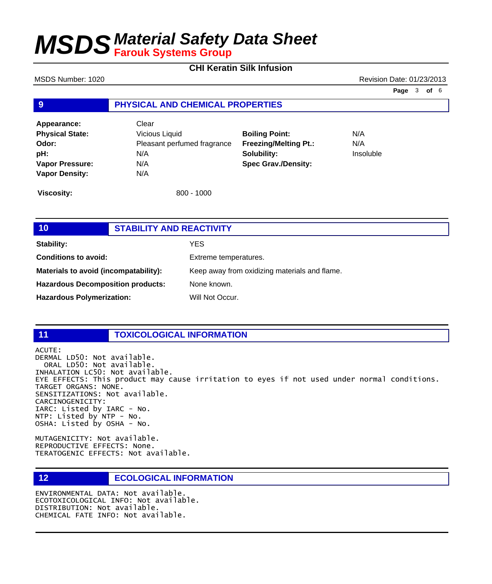**CHI Keratin Silk Infusion**

**9 PHYSICAL AND CHEMICAL PROPERTIES Appearance:** Clear **Physical State:** Vicious Liquid **Odor:** Pleasant perfumed fragrance **pH:** N/A **Vapor Pressure:** N/A **Vapor Density:** N/A **Boiling Point:** N/A **Freezing/Melting Pt.:** N/A **Solubility:** Insoluble **Spec Grav./Density:** MSDS Number: 1020 **Revision Date: 01/23/2013 Page** 3 **of** 6

**Viscosity:** 800 - 1000

| 10 <sup>°</sup>                          | <b>STABILITY AND REACTIVITY</b> |                                               |
|------------------------------------------|---------------------------------|-----------------------------------------------|
| <b>Stability:</b>                        |                                 | YES.                                          |
| <b>Conditions to avoid:</b>              |                                 | Extreme temperatures.                         |
| Materials to avoid (incompatability):    |                                 | Keep away from oxidizing materials and flame. |
| <b>Hazardous Decomposition products:</b> |                                 | None known.                                   |
| <b>Hazardous Polymerization:</b>         |                                 | Will Not Occur.                               |

## **11 TOXICOLOGICAL INFORMATION**

ACUTE: DERMAL LD50: Not available. ORAL LD50: Not available. INHALATION LC50: Not available. EYE EFFECTS: This product may cause irritation to eyes if not used under normal conditions. TARGET ORGANS: NONE. SENSITIZATIONS: Not available. CARCINOGENICITY: IARC: Listed by IARC - No. NTP: Listed by NTP - No. OSHA: Listed by OSHA - No.

MUTAGENICITY: Not available. REPRODUCTIVE EFFECTS: None. TERATOGENIC EFFECTS: Not available.

**12 ECOLOGICAL INFORMATION** 

ENVIRONMENTAL DATA: Not available. ECOTOXICOLOGICAL INFO: Not available. DISTRIBUTION: Not available. CHEMICAL FATE INFO: Not available.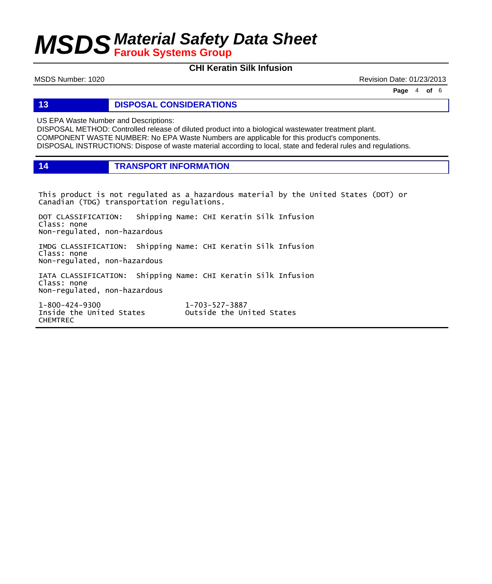## **CHI Keratin Silk Infusion**

MSDS Number: 1020 **Revision Date: 01/23/2013** 

**Page** 4 **of** 6

**13 DISPOSAL CONSIDERATIONS**

US EPA Waste Number and Descriptions:

DISPOSAL METHOD: Controlled release of diluted product into a biological wastewater treatment plant. COMPONENT WASTE NUMBER: No EPA Waste Numbers are applicable for this product's components. DISPOSAL INSTRUCTIONS: Dispose of waste material according to local, state and federal rules and regulations.

**14 TRANSPORT INFORMATION**

This product is not regulated as a hazardous material by the United States (DOT) or Canadian (TDG) transportation regulations.

DOT CLASSIFICATION: Shipping Name: CHI Keratin Silk Infusion Class: none Non-regulated, non-hazardous

IMDG CLASSIFICATION: Shipping Name: CHI Keratin Silk Infusion Class: none Non-regulated, non-hazardous

IATA CLASSIFICATION: Shipping Name: CHI Keratin Silk Infusion Class: none Non-regulated, non-hazardous

1-800-424-9300 1-703-527-3887 CHEMTREC

Outside the United States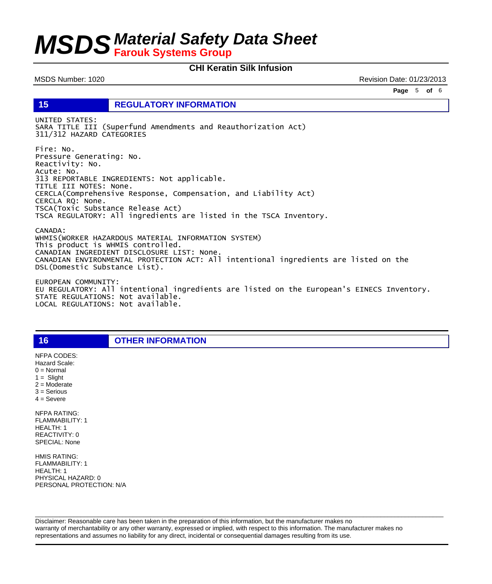### **CHI Keratin Silk Infusion**

MSDS Number: 1020 **Revision Date: 01/23/2013** 

**Page** 5 **of** 6

**15 REGULATORY INFORMATION**

UNITED STATES: SARA TITLE III (Superfund Amendments and Reauthorization Act) 311/312 HAZARD CATEGORIES

Fire: No. Pressure Generating: No. Reactivity: No. Acute: No. 313 REPORTABLE INGREDIENTS: Not applicable. TITLE III NOTES: None. CERCLA(Comprehensive Response, Compensation, and Liability Act) CERCLA RQ: None. TSCA(Toxic Substance Release Act) TSCA REGULATORY: All ingredients are listed in the TSCA Inventory.

CANADA: WHMIS(WORKER HAZARDOUS MATERIAL INFORMATION SYSTEM) This product is WHMIS controlled. CANADIAN INGREDIENT DISCLOSURE LIST: None. CANADIAN ENVIRONMENTAL PROTECTION ACT: All intentional ingredients are listed on the DSL(Domestic Substance List).

EUROPEAN COMMUNITY: EU REGULATORY: All intentional ingredients are listed on the European's EINECS Inventory. STATE REGULATIONS: Not available. LOCAL REGULATIONS: Not available.

**16 OTHER INFORMATION**

2 = Moderate 3 = Serious  $4 =$  Severe NFPA RATING: FLAMMABILITY: 1 HEALTH: 1 REACTIVITY: 0 SPECIAL: None

NFPA CODES: Hazard Scale:  $0 =$  Normal  $1 =$  Slight

HMIS RATING: FLAMMABILITY: 1 HEALTH: 1 PHYSICAL HAZARD: 0 PERSONAL PROTECTION: N/A

Disclaimer: Reasonable care has been taken in the preparation of this information, but the manufacturer makes no warranty of merchantability or any other warranty, expressed or implied, with respect to this information. The manufacturer makes no representations and assumes no liability for any direct, incidental or consequential damages resulting from its use.

 $\Box$  . The contribution of the contribution of the contribution of the contribution of the contribution of the contribution of the contribution of the contribution of the contribution of the contribution of the contributi